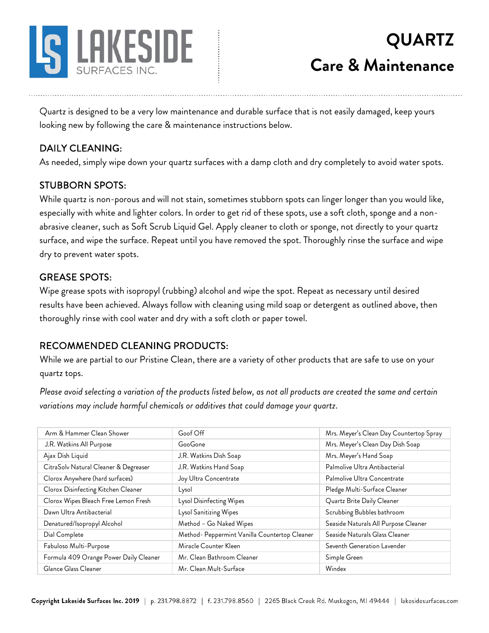

## **QUARTZ Care & Maintenance**

Quartz is designed to be a very low maintenance and durable surface that is not easily damaged, keep yours looking new by following the care & maintenance instructions below.

### DAILY CLEANING:

As needed, simply wipe down your quartz surfaces with a damp cloth and dry completely to avoid water spots.

#### STUBBORN SPOTS:

While quartz is non-porous and will not stain, sometimes stubborn spots can linger longer than you would like, especially with white and lighter colors. In order to get rid of these spots, use a soft cloth, sponge and a nonabrasive cleaner, such as Soft Scrub Liquid Gel. Apply cleaner to cloth or sponge, not directly to your quartz surface, and wipe the surface. Repeat until you have removed the spot. Thoroughly rinse the surface and wipe dry to prevent water spots.

#### GREASE SPOTS:

Wipe grease spots with isopropyl (rubbing) alcohol and wipe the spot. Repeat as necessary until desired results have been achieved. Always follow with cleaning using mild soap or detergent as outlined above, then thoroughly rinse with cool water and dry with a soft cloth or paper towel.

#### RECOMMENDED CLEANING PRODUCTS:

While we are partial to our Pristine Clean, there are a variety of other products that are safe to use on your quartz tops.

*Please avoid selecting a variation of the products listed below, as not all products are created the same and certain variations may include harmful chemicals or additives that could damage your quartz*.

| Arm & Hammer Clean Shower              | Goof Off                                      | Mrs. Meyer's Clean Day Countertop Spray |
|----------------------------------------|-----------------------------------------------|-----------------------------------------|
| J.R. Watkins All Purpose               | GooGone                                       | Mrs. Meyer's Clean Day Dish Soap        |
| Ajax Dish Liquid                       | J.R. Watkins Dish Soap                        | Mrs. Meyer's Hand Soap                  |
| CitraSolv Natural Cleaner & Degreaser  | J.R. Watkins Hand Soap                        | Palmolive Ultra Antibacterial           |
| Clorox Anywhere (hard surfaces)        | Joy Ultra Concentrate                         | Palmolive Ultra Concentrate             |
| Clorox Disinfecting Kitchen Cleaner    | Lysol                                         | Pledge Multi-Surface Cleaner            |
| Clorox Wipes Bleach Free Lemon Fresh   | Lysol Disinfecting Wipes                      | Quartz Brite Daily Cleaner              |
| Dawn Ultra Antibacterial               | Lysol Sanitizing Wipes                        | Scrubbing Bubbles bathroom              |
| Denatured/Isopropyl Alcohol            | Method - Go Naked Wipes                       | Seaside Naturals All Purpose Cleaner    |
| Dial Complete                          | Method- Peppermint Vanilla Countertop Cleaner | Seaside Naturals Glass Cleaner          |
| Fabuloso Multi-Purpose                 | Miracle Counter Kleen                         | Seventh Generation Lavender             |
| Formula 409 Orange Power Daily Cleaner | Mr. Clean Bathroom Cleaner                    | Simple Green                            |
| Glance Glass Cleaner                   | Mr. Clean Mult-Surface                        | Windex                                  |